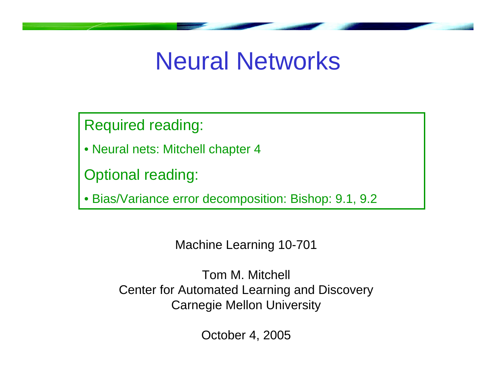# Neural Networks

Required reading:

• Neural nets: Mitchell chapter 4

Optional reading:

• Bias/Variance error decomposition: Bishop: 9.1, 9.2

Machine Learning 10-701

Tom M. Mitchell Center for Automated Learning and Discovery Carnegie Mellon University

October 4, 2005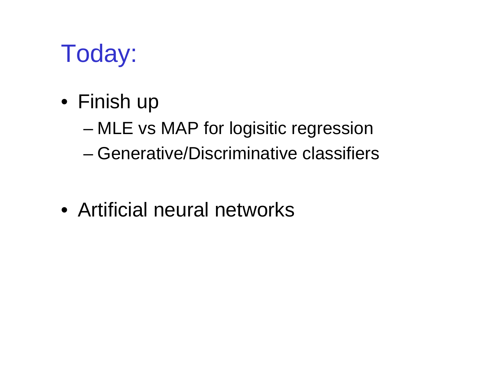# Today:

- Finish up
	- MLE vs MAP for logisitic regression
	- Generative/Discriminative classifiers
- Artificial neural networks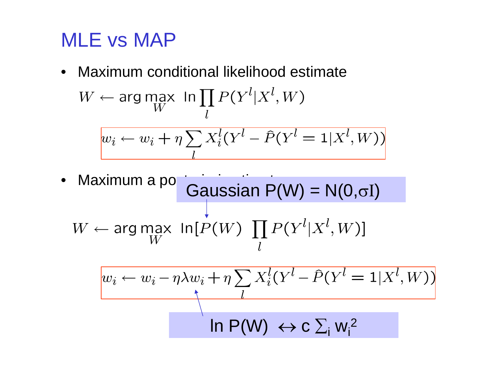# MLE vs MAP

•Maximum conditional likelihood estimate

$$
W \leftarrow \arg\max_{W} \ln \prod_{l} P(Y^l | X^l, W)
$$

$$
w_i \leftarrow w_i + \eta \sum_{l} X_i^l (Y^l - \hat{P}(Y^l = 1 | X^l, W))
$$

Maximum a potteriori estimate P(W) =  $N(0,\sigma I)$ • $W \leftarrow \text{arg}\max_{W} \text{ In}[P(W) \prod P(Y^l | X^l, W)]$  $w_i \leftarrow w_i - \eta \lambda w_i + \eta \sum X_i^l (Y^l - \hat{P}(Y^l = 1 | X^l, W))$ 

$$
\ln P(W) \leftrightarrow c \sum_{i} w_{i}^{2}
$$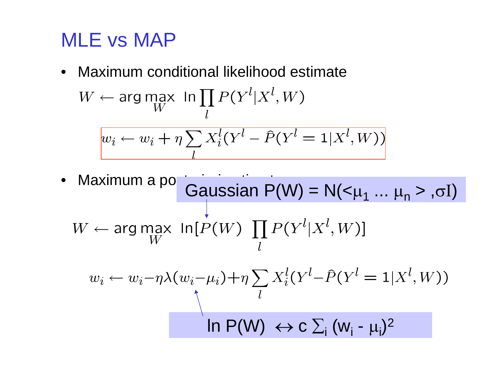# MLE vs MAP

•Maximum conditional likelihood estimate

$$
W \leftarrow \arg\max_{W} \ln \prod_{l} P(Y^l | X^l, W)
$$

$$
w_i \leftarrow w_i + \eta \sum_{l} X_i^l (Y^l - \hat{P}(Y^l = 1 | X^l, W))
$$

Maximum a po $\overline{G}$ Gaussian P(W) = N(< $\mu_1$  ...  $\mu_n$  > . $\sigma$ I) • $W \leftarrow \text{arg}\max_{W} \text{ln}[P(W) \prod_{I} P(Y^l | X^l, W)]$  $w_i \leftarrow w_i - \eta \lambda (w_i - \mu_i) + \eta \sum_l X_i^l (Y^l - \hat{P}(Y^l = 1 | X^l, W))$ In  $\mathsf{P}(\mathsf{W})\ \leftrightarrow$  C  $\sum_{\mathsf{i}}\ (\mathsf{w}_{\mathsf{i}}$  -  $\mu_{\mathsf{i}})^2$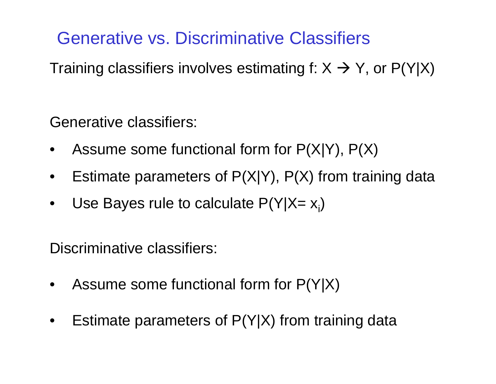# Generative vs. Discriminative Classifiers

Training classifiers involves estimating f: X  $\rightarrow$  Y, or P(Y|X)

Generative classifiers:

- •Assume some functional form for  $P(X|Y)$ ,  $P(X)$
- •Estimate parameters of P(X|Y), P(X) from training data
- $\bullet$ Use Bayes rule to calculate  $P(Y|X=x_i)$

Discriminative classifiers:

- •Assume some functional form for P(Y|X)
- $\bullet$ Estimate parameters of P(Y|X) from training data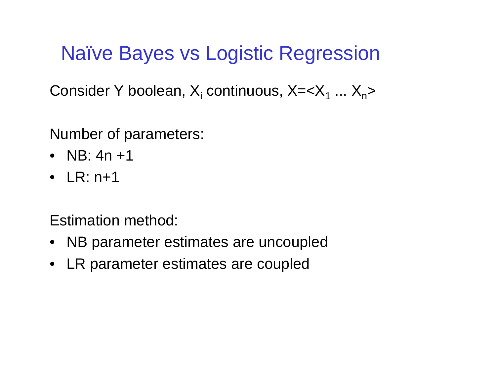# Naïve Bayes vs Logistic Regression

Consider Y boolean, X<sub>i</sub> continuous, X=<X<sub>1</sub> ... X<sub>n</sub>>

Number of parameters:

- NB: 4n +1
- LR: n+1

Estimation method:

- NB parameter estimates are uncoupled
- LR parameter estimates are coupled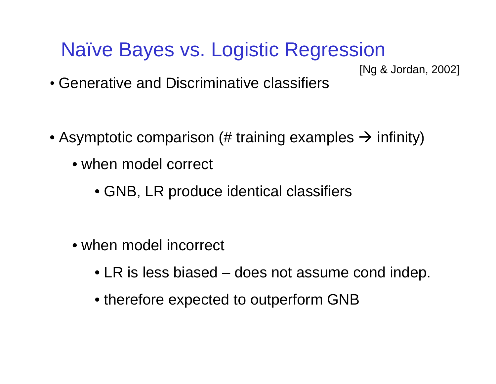# Naïve Bayes vs. Logistic Regression

[Ng & Jordan, 2002]

- Generative and Discriminative classifiers
- $\bullet$  Asymptotic comparison (# training examples  $\rightarrow$  infinity)
	- when model correct
		- GNB, LR produce identical classifiers
	- when model incorrect
		- LR is less biased does not assume cond indep.
		- therefore expected to outperform GNB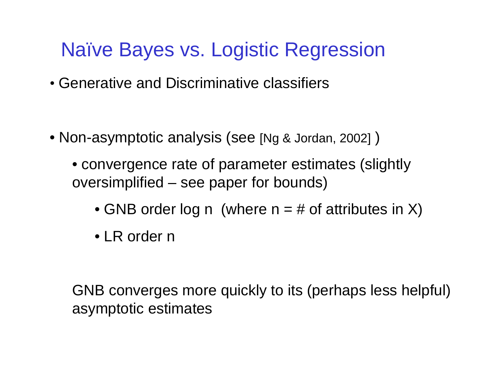# Naïve Bayes vs. Logistic Regression

- Generative and Discriminative classifiers
- Non-asymptotic analysis (see [Ng & Jordan, 2002] )
	- convergence rate of parameter estimates (slightly oversimplified – see paper for bounds)
		- $\bullet$  GNB order log n (where n = # of attributes in X)
		- LR order n

GNB converges more quickly to its (perhaps less helpful) asymptotic estimates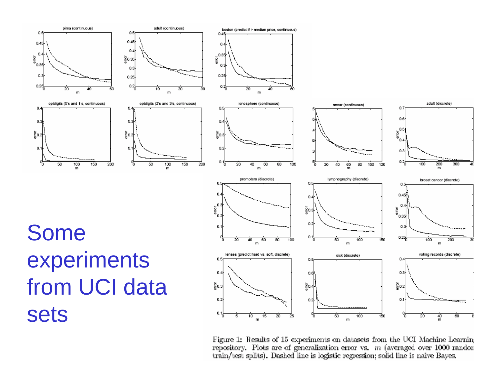

Figure 1: Results of 15 experiments on datasets from the UCI Machine Learnin repository. Plots are of generalization error vs.  $m$  (averaged over 1000 randor train/test splits). Dashed line is logistic regression; solid line is naive Bayes.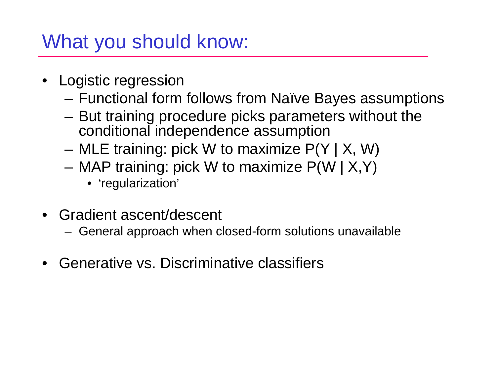# What you should know:

- Logistic regression
	- Functional form follows from Naïve Bayes assumptions
	- – But training procedure picks parameters without the conditional independence assumption
	- –MLE training: pick W to maximize P(Y | X, W)
	- MAP training: pick W to maximize P(W | X,Y)
		- 'regularization'
- Gradient ascent/descent
	- General approach when closed-form solutions unavailable
- $\bullet$ Generative vs. Discriminative classifiers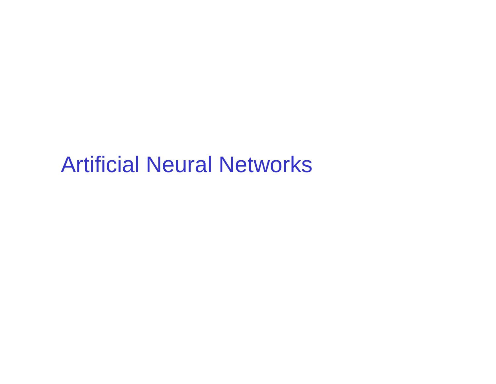# Artificial Neural Networks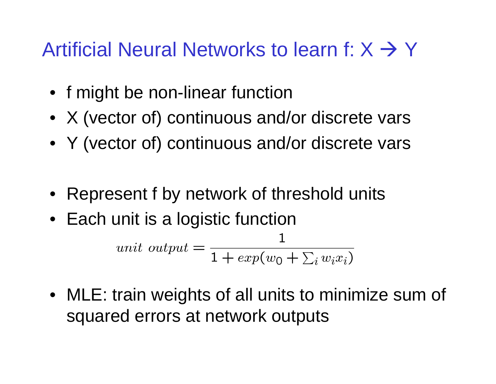# Artificial Neural Networks to learn f:  $X \rightarrow Y$

- f might be non-linear function
- X (vector of) continuous and/or discrete vars
- Y (vector of) continuous and/or discrete vars
- Represent f by network of threshold units
- Each unit is a logistic function

$$
unit\ output = \frac{1}{1 + exp(w_0 + \sum_i w_i x_i)}
$$

• MLE: train weights of all units to minimize sum of squared errors at network outputs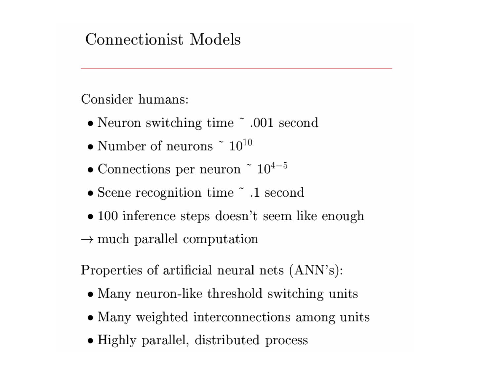#### Connectionist Models

Consider humans:

- Neuron switching time ~ .001 second
- Number of neurons  $\degree$  10<sup>10</sup>
- Connections per neuron  $\degree$  10<sup>4-5</sup>
- Scene recognition time  $\tilde{\ }$  .1 second
- $\bullet$  100 inference steps doesn't seem like enough
- $\rightarrow$  much parallel computation

Properties of artificial neural nets (ANN's):

- Many neuron-like threshold switching units
- Many weighted interconnections among units
- Highly parallel, distributed process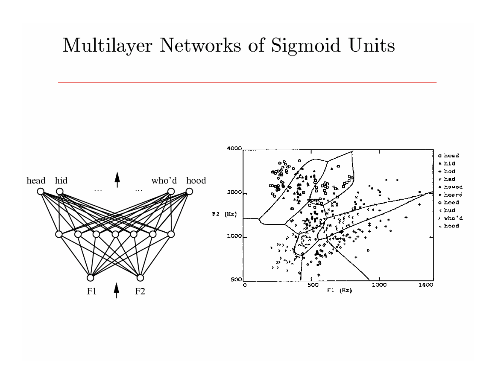### Multilayer Networks of Sigmoid Units

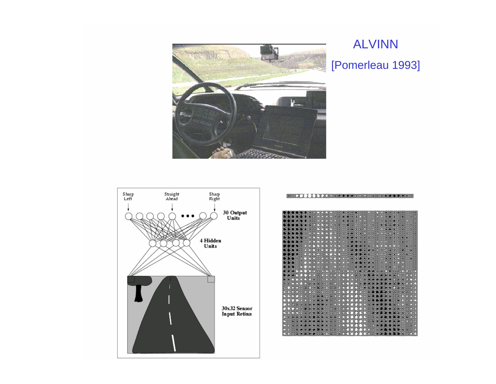

#### ALVINN [Pomerleau 1993]



|                                                                                                                  | , w w w w w w <del>w w contract to the contract of the contract of the contract of the contract of the contract of th</del> |
|------------------------------------------------------------------------------------------------------------------|-----------------------------------------------------------------------------------------------------------------------------|
|                                                                                                                  |                                                                                                                             |
|                                                                                                                  |                                                                                                                             |
|                                                                                                                  |                                                                                                                             |
|                                                                                                                  |                                                                                                                             |
|                                                                                                                  |                                                                                                                             |
|                                                                                                                  |                                                                                                                             |
|                                                                                                                  |                                                                                                                             |
|                                                                                                                  |                                                                                                                             |
| I VI VI VI VI VIDIRIKANCI NA MARAHASHI MARAHASHI A                                                               |                                                                                                                             |
|                                                                                                                  |                                                                                                                             |
|                                                                                                                  |                                                                                                                             |
| <u> Maria Manazarta ya Tanzania mwana m</u>                                                                      |                                                                                                                             |
|                                                                                                                  |                                                                                                                             |
|                                                                                                                  |                                                                                                                             |
|                                                                                                                  |                                                                                                                             |
|                                                                                                                  |                                                                                                                             |
|                                                                                                                  |                                                                                                                             |
|                                                                                                                  |                                                                                                                             |
|                                                                                                                  |                                                                                                                             |
|                                                                                                                  |                                                                                                                             |
|                                                                                                                  |                                                                                                                             |
|                                                                                                                  |                                                                                                                             |
|                                                                                                                  |                                                                                                                             |
|                                                                                                                  |                                                                                                                             |
|                                                                                                                  |                                                                                                                             |
|                                                                                                                  |                                                                                                                             |
|                                                                                                                  |                                                                                                                             |
| THE TABLE IS A REPORT OF THE REPORT OF THE REPORT OF THE REPORT OF THE REPORT OF THE REPORT OF THE REPORT OF THE |                                                                                                                             |
|                                                                                                                  |                                                                                                                             |
|                                                                                                                  |                                                                                                                             |
|                                                                                                                  |                                                                                                                             |
|                                                                                                                  |                                                                                                                             |
|                                                                                                                  |                                                                                                                             |
|                                                                                                                  |                                                                                                                             |
|                                                                                                                  |                                                                                                                             |
|                                                                                                                  |                                                                                                                             |
|                                                                                                                  |                                                                                                                             |
|                                                                                                                  |                                                                                                                             |
|                                                                                                                  |                                                                                                                             |
|                                                                                                                  |                                                                                                                             |
|                                                                                                                  |                                                                                                                             |
|                                                                                                                  |                                                                                                                             |
|                                                                                                                  |                                                                                                                             |
|                                                                                                                  |                                                                                                                             |
|                                                                                                                  |                                                                                                                             |
|                                                                                                                  |                                                                                                                             |
|                                                                                                                  |                                                                                                                             |
|                                                                                                                  |                                                                                                                             |
|                                                                                                                  | A CONTRACTOR OF THE REPORT OF THE REAL PROPERTY OF THE REPORT OF THE REAL PROPERTY OF THE REAL PROPERTY OF THE              |
|                                                                                                                  |                                                                                                                             |
|                                                                                                                  |                                                                                                                             |
|                                                                                                                  |                                                                                                                             |
|                                                                                                                  |                                                                                                                             |
|                                                                                                                  |                                                                                                                             |
|                                                                                                                  |                                                                                                                             |
|                                                                                                                  |                                                                                                                             |
|                                                                                                                  |                                                                                                                             |
|                                                                                                                  |                                                                                                                             |
|                                                                                                                  |                                                                                                                             |
|                                                                                                                  |                                                                                                                             |
|                                                                                                                  |                                                                                                                             |
|                                                                                                                  |                                                                                                                             |
|                                                                                                                  |                                                                                                                             |
|                                                                                                                  |                                                                                                                             |
|                                                                                                                  |                                                                                                                             |
|                                                                                                                  |                                                                                                                             |

**BRACK IN THE REAL PROPERTY AND RELEASED AND RELEASED**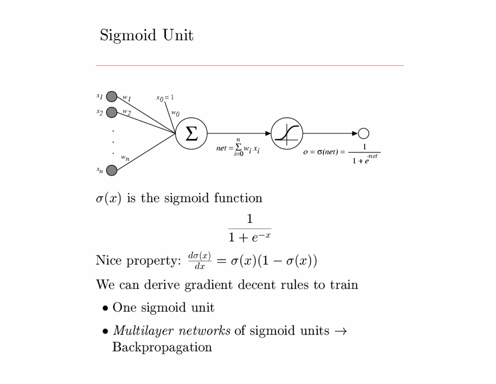

- One sigmoid unit
- *Multilayer networks* of sigmoid units  $\rightarrow$ Backpropagation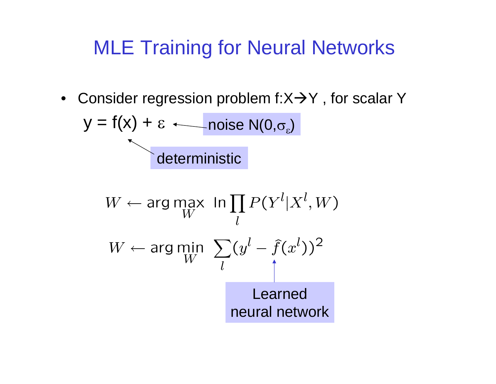# MLE Training for Neural Networks

• Consider regression problem f:X $\rightarrow$ Y, for scalar Y

$$
y = f(x) + \varepsilon \longleftarrow \text{noise N}(0, \sigma_{\varepsilon})
$$
   
 
$$
\underbrace{\qquad \qquad}_{\text{deterministic}}
$$

$$
W \leftarrow \arg \max_{W} \ln \prod_{l} P(Y^l | X^l, W)
$$
  

$$
W \leftarrow \arg \min_{W} \sum_{l} (y^l - \hat{f}(x^l))^2
$$
  
Learned

neural network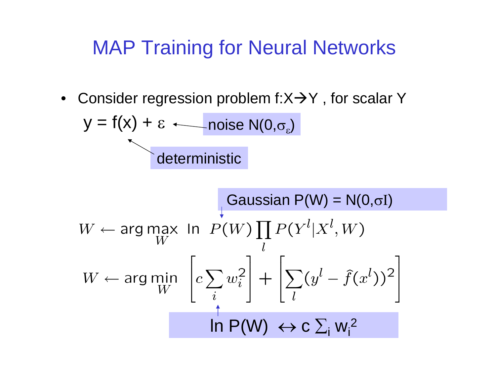# MAP Training for Neural Networks

• Consider regression problem f:X $\rightarrow$ Y, for scalar Y

$$
y = f(x) + \varepsilon \longleftarrow \text{noise N}(0, \sigma_{\varepsilon})
$$
   
 
$$
\longleftarrow
$$
   
 
$$
\longleftarrow
$$
 
$$
\longleftarrow
$$
 
$$
\longleftarrow
$$
 
$$
\longleftarrow
$$
 
$$
\longleftarrow
$$
 
$$
\longleftarrow
$$
 
$$
\longleftarrow
$$
 
$$
\longleftarrow
$$
 
$$
\longleftarrow
$$
 
$$
\longleftarrow
$$
 
$$
\longleftarrow
$$
 
$$
\longleftarrow
$$
 
$$
\longleftarrow
$$
 
$$
\longleftarrow
$$
 
$$
\longleftarrow
$$
 
$$
\longleftarrow
$$
 
$$
\longleftarrow
$$
 
$$
\longleftarrow
$$
 
$$
\longleftarrow
$$
 
$$
\longleftarrow
$$
 
$$
\longleftarrow
$$
 
$$
\longleftarrow
$$
 
$$
\longleftarrow
$$
 
$$
\longleftarrow
$$
 
$$
\longleftarrow
$$
 
$$
\longleftarrow
$$
 
$$
\longleftarrow
$$
 
$$
\longleftarrow
$$
 
$$
\longleftarrow
$$
 
$$
\longleftarrow
$$
 
$$
\longleftarrow
$$
 
$$
\longleftarrow
$$
 
$$
\longleftarrow
$$
 
$$
\longleftarrow
$$
 
$$
\longleftarrow
$$
 
$$
\longleftarrow
$$
 
$$
\longleftarrow
$$
 
$$
\longleftarrow
$$
 
$$
\longleftarrow
$$
 
$$
\longleftarrow
$$
 
$$
\longleftarrow
$$
 
$$
\longleftarrow
$$
 
$$
\longleftarrow
$$
 
$$
\longleftarrow
$$
 
$$
\longleftarrow
$$
 
$$
\longleftarrow
$$
 
$$
\longleftarrow
$$
 
$$
\longleftarrow
$$
 
$$
\longleftarrow
$$
 
$$
\longleftarrow
$$
 
$$
\longleftarrow
$$
 
$$
\longleftarrow
$$
 
$$
\longleftarrow
$$
 
$$
\longleftarrow
$$
 
$$
\longleftarrow
$$
 
$$
\longleftarrow
$$
 
$$
\longleftarrow
$$
 
$$
\longleftarrow
$$
 
$$
\longleftarrow
$$

$$
W \leftarrow \arg \max_{W} \ln P(W) \prod_{l} P(Y^{l} | X^{l}, W)
$$
  
W ← arg min 
$$
\left[ c \sum_{i} w_{i}^{2} \right] + \left[ \sum_{l} (y^{l} - \hat{f}(x^{l}))^{2} \right]
$$
  
In P(W) ↔ C  $\sum_{i} w_{i}^{2}$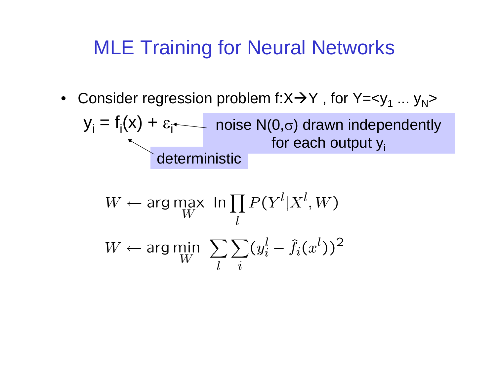# MLE Training for Neural Networks

 $\bullet~$  Consider regression problem f:X $\rightarrow$ Y , for Y=<y $_1$  ... y $_{\sf N}$ >

$$
y_i = f_i(x) + \varepsilon_i
$$
noise N(0,σ) drawn independently  
for each output y<sub>i</sub>

$$
W \leftarrow \arg \max_{W} \ln \prod_{l} P(Y^l | X^l, W)
$$
  

$$
W \leftarrow \arg \min_{W} \sum_{l} \sum_{i} (y_i^l - \hat{f}_i(x^l))^2
$$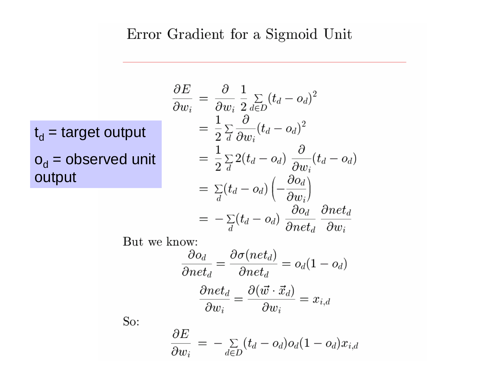#### Error Gradient for a Sigmoid Unit

t<sub>d</sub> = target output

o<sub>d</sub> = observed unit output

$$
\frac{\partial E}{\partial w_i} = \frac{\partial}{\partial w_i} \frac{1}{2} \sum_{d \in D} (t_d - o_d)^2
$$
  
\n
$$
= \frac{1}{2} \sum_{d} \frac{\partial}{\partial w_i} (t_d - o_d)^2
$$
  
\n
$$
= \frac{1}{2} \sum_{d} 2(t_d - o_d) \frac{\partial}{\partial w_i} (t_d - o_d)
$$
  
\n
$$
= \sum_{d} (t_d - o_d) \left( -\frac{\partial o_d}{\partial w_i} \right)
$$
  
\n
$$
= -\sum_{d} (t_d - o_d) \frac{\partial o_d}{\partial net_d} \frac{\partial net_d}{\partial w_i}
$$

But we know:

$$
\frac{\partial o_d}{\partial net_d} = \frac{\partial \sigma(net_d)}{\partial net_d} = o_d(1 - o_d)
$$

$$
\frac{\partial net_d}{\partial w_i} = \frac{\partial (\vec{w} \cdot \vec{x}_d)}{\partial w_i} = x_{i,d}
$$

So:

$$
\frac{\partial E}{\partial w_i} = -\sum_{d \in D} (t_d - o_d) o_d (1 - o_d) x_{i,d}
$$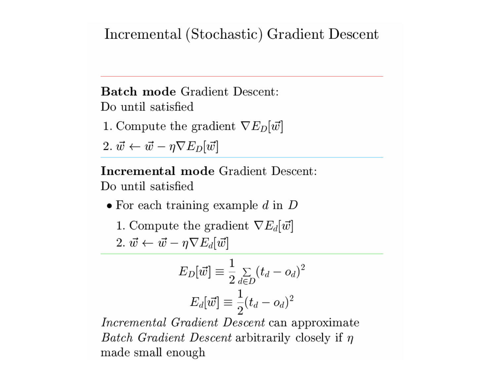#### Incremental (Stochastic) Gradient Descent

**Batch mode Gradient Descent:** Do until satisfied

1. Compute the gradient  $\nabla E_D[\vec{w}]$ 

2.  $\vec{w} \leftarrow \vec{w} - \eta \nabla E_D[\vec{w}]$ 

**Incremental mode Gradient Descent:** Do until satisfied

 $\bullet$  For each training example d in  $D$ 

1. Compute the gradient  $\nabla E_d[\vec{w}]$ 2.  $\vec{w} \leftarrow \vec{w} - \eta \nabla E_d[\vec{w}]$ 

$$
E_D[\vec{w}] \equiv \frac{1}{2} \sum_{d \in D} (t_d - o_d)^2
$$

$$
E_d[\vec{w}] \equiv \frac{1}{2} (t_d - o_d)^2
$$

Incremental Gradient Descent can approximate *Batch Gradient Descent* arbitrarily closely if  $\eta$ made small enough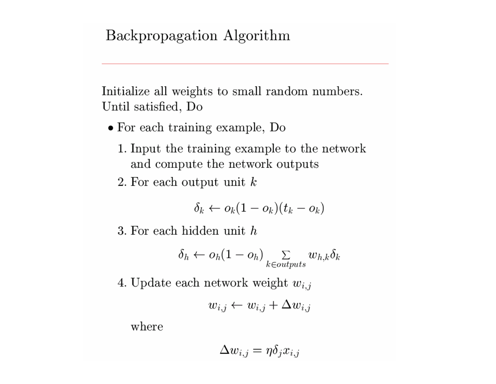#### Backpropagation Algorithm

Initialize all weights to small random numbers. Until satisfied, Do

- $\bullet$  For each training example, Do
	- 1. Input the training example to the network and compute the network outputs
	- 2. For each output unit  $k$

$$
\delta_k \leftarrow o_k(1-o_k)(t_k-o_k)
$$

3. For each hidden unit  $h$ 

$$
\delta_h \leftarrow o_h(1 - o_h) \sum_{k \in outputs} w_{h,k} \delta_k
$$

4. Update each network weight  $w_{i,j}$ 

$$
w_{i,j} \leftarrow w_{i,j} + \Delta w_{i,j}
$$

where

$$
\Delta w_{i,j}=\eta \delta_j x_{i,j}
$$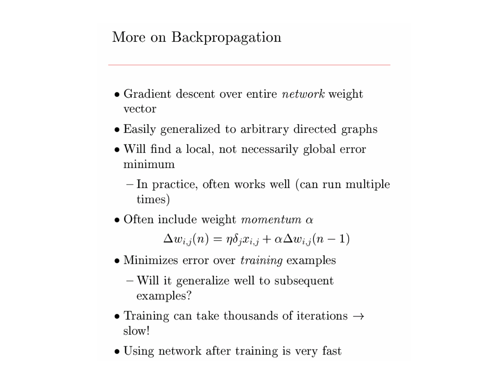#### More on Backpropagation

- $\bullet$  Gradient descent over entire *network* weight vector
- Easily generalized to arbitrary directed graphs
- Will find a local, not necessarily global error minimum
	- In practice, often works well (can run multiple times)
- Often include weight *momentum*  $\alpha$

 $\Delta w_{i,j}(n) = \eta \delta_i x_{i,j} + \alpha \Delta w_{i,j}(n-1)$ 

- $\bullet$  Minimizes error over *training* examples
	- Will it generalize well to subsequent examples?
- Training can take thousands of iterations  $\rightarrow$ slow!
- Using network after training is very fast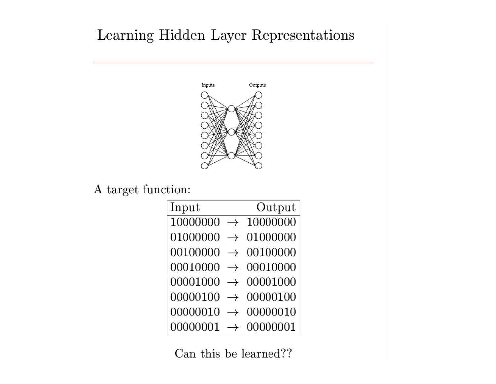#### Learning Hidden Layer Representations



A target function:  $\,$ 

| Input    |               | Output   |
|----------|---------------|----------|
| 10000000 | $\rightarrow$ | 10000000 |
| 01000000 | $\rightarrow$ | 01000000 |
| 00100000 |               | 00100000 |
| 00010000 |               | 00010000 |
| 00001000 |               | 00001000 |
| 00000100 |               | 00000100 |
| 00000010 |               | 00000010 |
| 00000001 |               | 00000001 |

Can this be learned??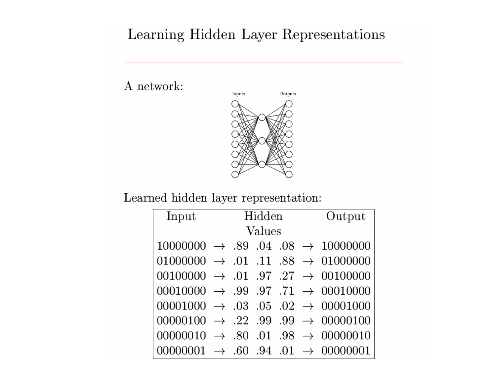#### Learning Hidden Layer Representations

 ${\bf A}$  network:



Learned hidden layer representation:

| Input                                                               |  | Hidden |  |  |  | Output                                                    |
|---------------------------------------------------------------------|--|--------|--|--|--|-----------------------------------------------------------|
| Values                                                              |  |        |  |  |  |                                                           |
|                                                                     |  |        |  |  |  | $10000000 \rightarrow .89$ .04 .08 $\rightarrow$ 10000000 |
| $01000000 \rightarrow .01$ .11 .88 $\rightarrow$ 01000000           |  |        |  |  |  |                                                           |
| $001000000 \rightarrow .01$ .97 .27 $\rightarrow$ 00100000          |  |        |  |  |  |                                                           |
| $00010000 \rightarrow .99$ .97 .71 $\rightarrow 00010000$           |  |        |  |  |  |                                                           |
| $00001000 \rightarrow .03 \cdot .05 \cdot .02 \rightarrow 00001000$ |  |        |  |  |  |                                                           |
| $00000100 \rightarrow .22$ .99 .99 $\rightarrow 00000100$           |  |        |  |  |  |                                                           |
| $00000010 \rightarrow .80$ .01 .98 $\rightarrow$ 00000010           |  |        |  |  |  |                                                           |
| 00000001                                                            |  |        |  |  |  | $\rightarrow$ .60 .94 .01 $\rightarrow$ 00000001          |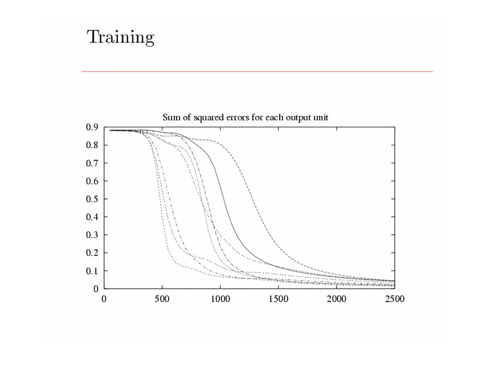# Training

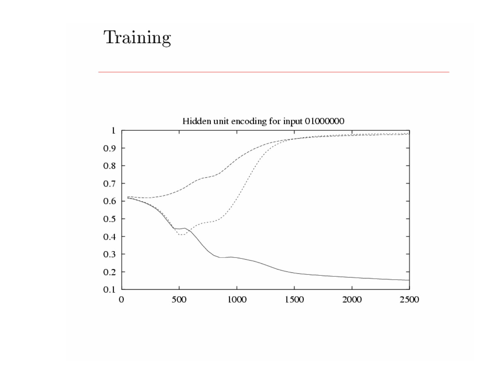# Training

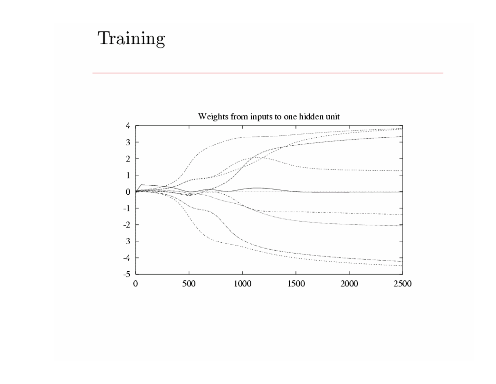# Training

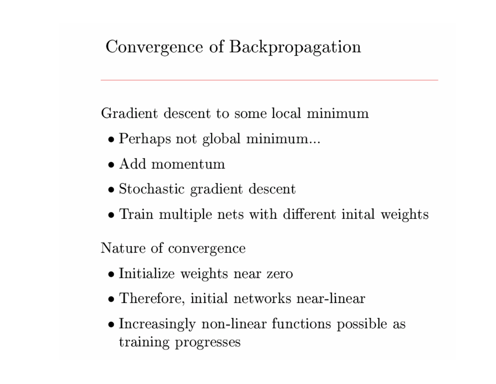# Convergence of Backpropagation

Gradient descent to some local minimum

- $\bullet$  Perhaps not global minimum...
- $\bullet$  Add momentum
- $\bullet$  Stochastic gradient descent
- Train multiple nets with different initial weights

Nature of convergence

- Initialize weights near zero
- Therefore, initial networks near-linear
- Increasingly non-linear functions possible as training progresses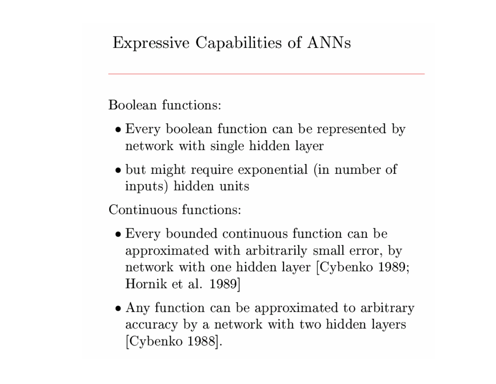### Expressive Capabilities of ANNs

Boolean functions:

- Every boolean function can be represented by network with single hidden layer
- but might require exponential (in number of inputs) hidden units

Continuous functions:

- Every bounded continuous function can be approximated with arbitrarily small error, by network with one hidden layer [Cybenko 1989; Hornik et al. 1989
- Any function can be approximated to arbitrary accuracy by a network with two hidden layers [Cybenko 1988].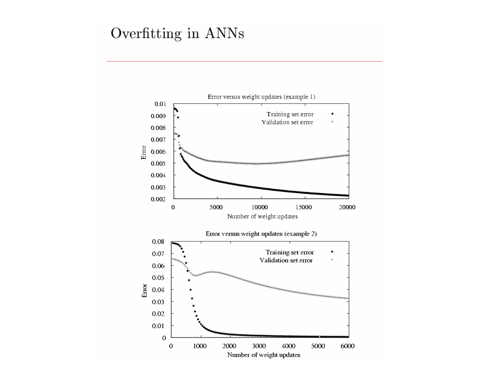#### Overfitting in ANNs

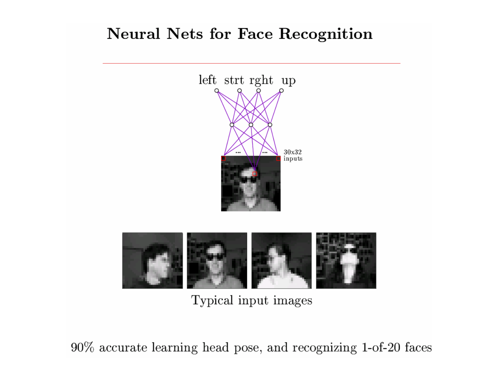#### **Neural Nets for Face Recognition**



Typical input images

90% accurate learning head pose, and recognizing 1-of-20 faces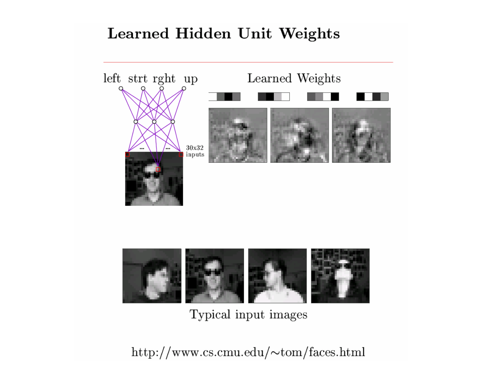#### Learned Hidden Unit Weights





Typical input images

 $\text{http://www.cs.cmu.edu/~tom/faces.html}$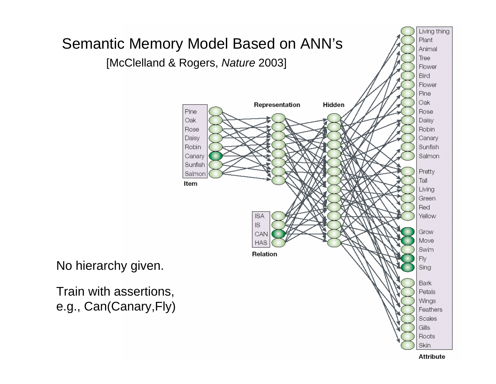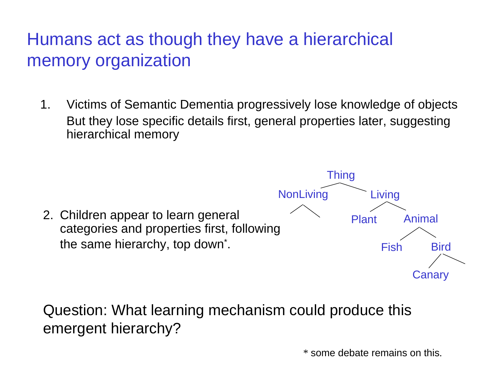### Humans act as though they have a hierarchical memory organization

1. Victims of Semantic Dementia progressively lose knowledge of objects But they lose specific details first, general properties later, suggesting hierarchical memory



Question: What learning mechanism could produce this emergent hierarchy?

\* some debate remains on this.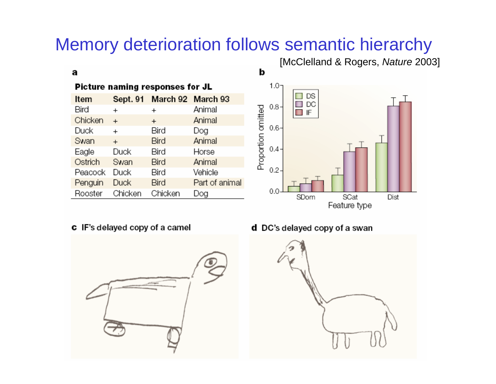### Memory deterioration follows semantic hierarchy

#### a

| Picture naming responses for JL |             |                            |                |  |  |  |
|---------------------------------|-------------|----------------------------|----------------|--|--|--|
| Item                            |             | Sept. 91 March 92 March 93 |                |  |  |  |
| Bird                            | $\ddot{}$   | +                          | Animal         |  |  |  |
| Chicken                         | $\ddot{}$   | $^{+}$                     | Animal         |  |  |  |
| Duck                            | $\div$      | Bird                       | Dog            |  |  |  |
| Swan                            | $+$         | Bird                       | Animal         |  |  |  |
| Eagle                           | Duck        | Bird                       | Horse          |  |  |  |
| Ostrich                         | Swan        | Bird                       | Animal         |  |  |  |
| Peacock                         | Duck        | Bird                       | Vehicle        |  |  |  |
| Penguin                         | <b>Duck</b> | Bird                       | Part of animal |  |  |  |
| Rooster                         | Chicken     | Chicken                    | Dog            |  |  |  |



[McClelland & Rogers, *Nature* 2003]

#### c IF's delayed copy of a camel



d DC's delayed copy of a swan

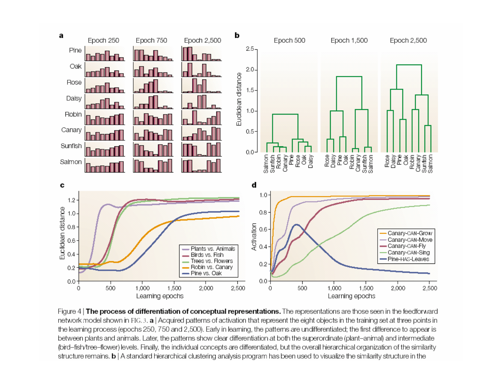

Figure 4 | The process of differentiation of conceptual representations. The representations are those seen in the feedforward network model shown in FIG. 3. a | Acquired patterns of activation that represent the eight objects in the training set at three points in the learning process (epochs 250, 750 and 2,500). Early in learning, the patterns are undifferentiated; the first difference to appear is between plants and animals. Later, the patterns show clear differentiation at both the superordinate (plant-animal) and intermediate (bird-fish/tree-flower) levels. Finally, the individual concepts are differentiated, but the overall hierarchical organization of the similarity structure remains. b | A standard hierarchical clustering analysis program has been used to visualize the similarity structure in the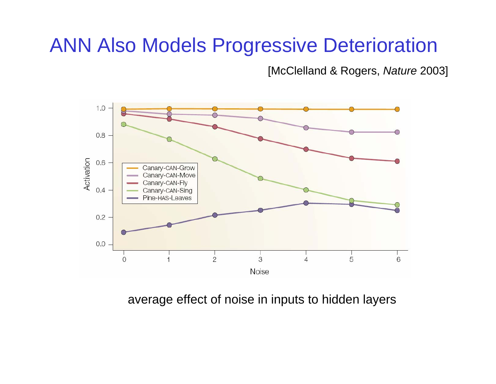# ANN Also Models Progressive Deterioration

[McClelland & Rogers, *Nature* 2003]



average effect of noise in inputs to hidden layers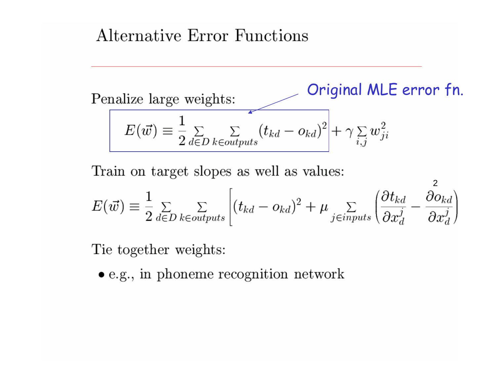#### Alternative Error Functions

Original MLE error fn.Penalize large weights:  $E(\vec{w}) \equiv \frac{1}{2} \sum_{d \in D} \sum_{k \in outputs} (t_{kd} - o_{kd})^2 + \gamma \sum_{i,j} w_{ji}^2$ 

Train on target slopes as well as values:

$$
E(\vec{w}) \equiv \frac{1}{2} \sum_{d \in D} \sum_{k \in outputs} \left[ (t_{kd} - o_{kd})^2 + \mu \sum_{j \in inputs} \left( \frac{\partial t_{kd}}{\partial x_d^j} - \frac{\partial o_{kd}}{\partial x_d^j} \right) \right]
$$

2

Tie together weights:

 $\bullet$  e.g., in phoneme recognition network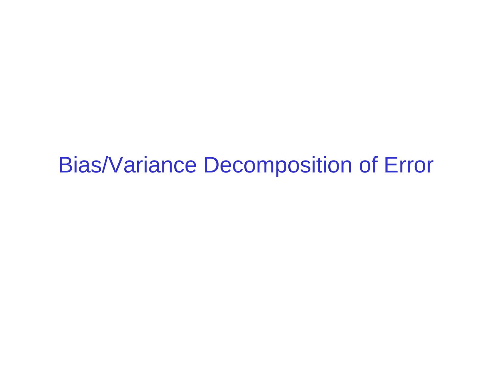Bias/Variance Decomposition of Error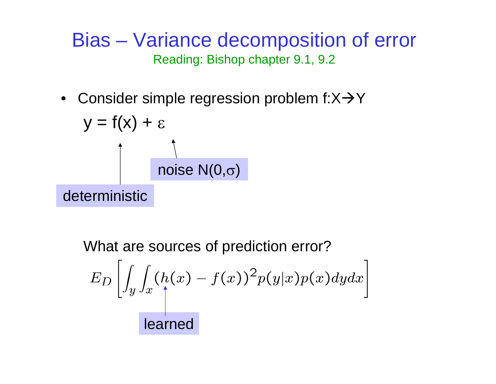Bias – Variance decomposition of error Reading: Bishop chapter 9.1, 9.2

• Consider simple regression problem f:X $\rightarrow$ Y

$$
y = f(x) + \varepsilon
$$
\n
$$
\uparrow
$$
\n
$$
\uparrow
$$
\n
$$
\uparrow
$$
\n
$$
\uparrow
$$
\n
$$
\uparrow
$$
\n
$$
\uparrow
$$
\n
$$
\uparrow
$$
\n
$$
\uparrow
$$
\n
$$
\uparrow
$$
\n
$$
\uparrow
$$
\n
$$
\uparrow
$$
\n
$$
\uparrow
$$
\n
$$
\uparrow
$$
\n
$$
\uparrow
$$
\n
$$
\uparrow
$$
\n
$$
\uparrow
$$
\n
$$
\uparrow
$$
\n
$$
\uparrow
$$
\n
$$
\uparrow
$$
\n
$$
\uparrow
$$
\n
$$
\uparrow
$$
\n
$$
\uparrow
$$
\n
$$
\uparrow
$$
\n
$$
\uparrow
$$
\n
$$
\uparrow
$$
\n
$$
\uparrow
$$
\n
$$
\uparrow
$$
\n
$$
\uparrow
$$
\n
$$
\uparrow
$$
\n
$$
\uparrow
$$
\n
$$
\uparrow
$$
\n
$$
\uparrow
$$
\n
$$
\uparrow
$$
\n
$$
\uparrow
$$
\n
$$
\uparrow
$$
\n
$$
\uparrow
$$
\n
$$
\uparrow
$$
\n
$$
\uparrow
$$
\n
$$
\uparrow
$$
\n
$$
\uparrow
$$
\n
$$
\uparrow
$$
\n
$$
\uparrow
$$
\n
$$
\uparrow
$$
\n
$$
\uparrow
$$
\n
$$
\uparrow
$$
\n
$$
\uparrow
$$
\n
$$
\uparrow
$$
\n
$$
\uparrow
$$
\n
$$
\uparrow
$$
\n
$$
\uparrow
$$
\n
$$
\uparrow
$$
\n
$$
\uparrow
$$
\n
$$
\uparrow
$$
\n
$$
\uparrow
$$
\n
$$
\uparrow
$$
\n
$$
\uparrow
$$
\n
$$
\uparrow
$$
\n
$$
\uparrow
$$
\n
$$
\uparrow
$$
\n
$$
\uparrow
$$
\n
$$
\uparrow
$$
\n
$$
\uparrow
$$
\n<

What are sources of prediction error?  $E_D\left[\int_y\int_x(h(x)-f(x))^2p(y|x)p(x)dydx\right]$ learned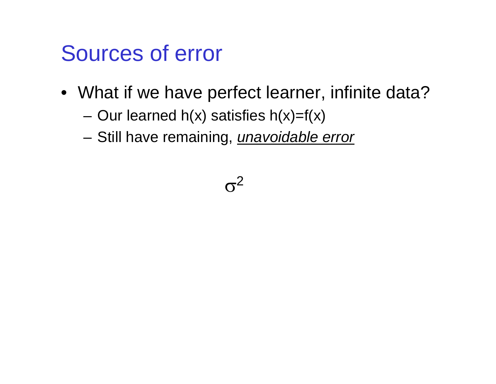# Sources of error

- What if we have perfect learner, infinite data?
	- –Our learned  $h(x)$  satisfies  $h(x)=f(x)$
	- –Still have remaining, *unavoidable error*

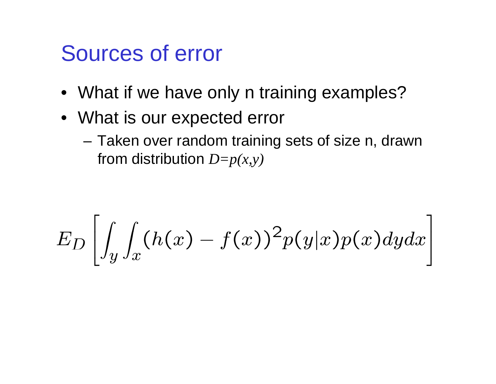# Sources of error

- What if we have only n training examples?
- What is our expected error
	- Taken over random training sets of size n, drawn from distribution *D=p(x,y)*

$$
E_D\left[\int_{y}\int_{x}(h(x)-f(x))^{2}p(y|x)p(x)dydx\right]
$$